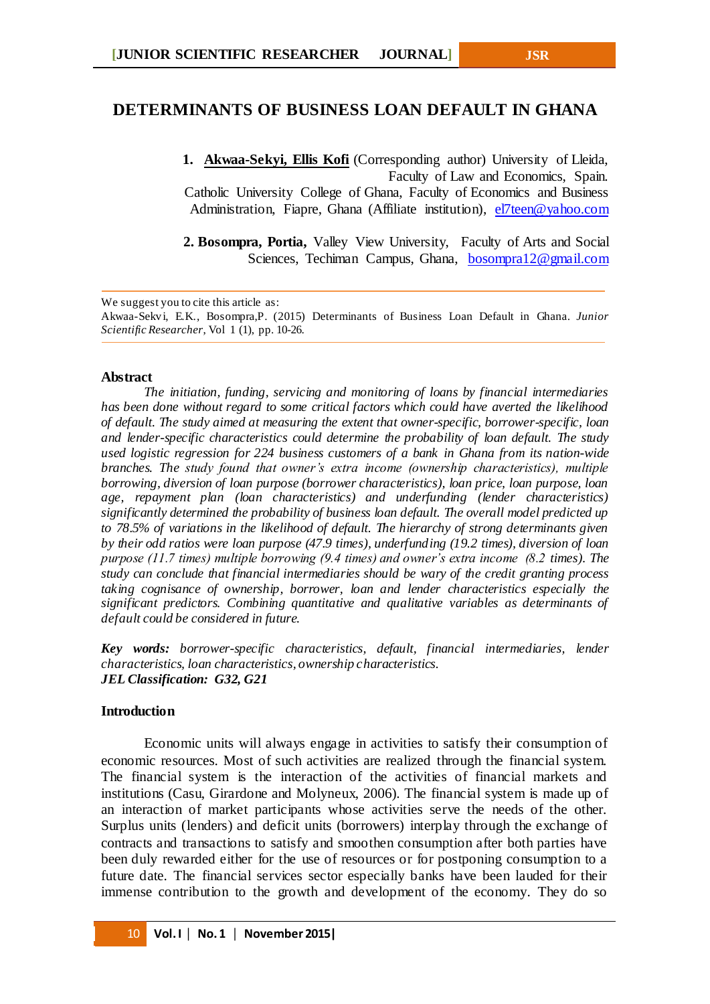# **DETERMINANTS OF BUSINESS LOAN DEFAULT IN GHANA**

**1. Akwaa-Sekyi, Ellis Kofi** (Corresponding author) University of Lleida, Faculty of Law and Economics, Spain. Catholic University College of Ghana, Faculty of Economics and Business Administration, Fiapre, Ghana (Affiliate institution), [el7teen@yahoo.com](mailto:el7teen@yahoo.com)

**2. Bosompra, Portia,** Valley View University, Faculty of Arts and Social Sciences, Techiman Campus, Ghana, [bosompra12@gmail.com](mailto:bosompra12@gmail.com)

We suggest you to cite this article as:

Akwaa-Sekvi, E.K., Bosompra,P. (2015) Determinants of Business Loan Default in Ghana. *Junior Scientific Researcher*, Vol 1 (1), pp. 10-26.

#### **Abstract**

*The initiation, funding, servicing and monitoring of loans by financial intermediaries has been done without regard to some critical factors which could have averted the likelihood of default. The study aimed at measuring the extent that owner-specific, borrower-specific, loan and lender-specific characteristics could determine the probability of loan default. The study used logistic regression for 224 business customers of a bank in Ghana from its nation-wide branches. The study found that owner's extra income (ownership characteristics), multiple borrowing, diversion of loan purpose (borrower characteristics), loan price, loan purpose, loan age, repayment plan (loan characteristics) and underfunding (lender characteristics) significantly determined the probability of business loan default. The overall model predicted up to 78.5% of variations in the likelihood of default. The hierarchy of strong determinants given by their odd ratios were loan purpose (47.9 times), underfunding (19.2 times), diversion of loan purpose (11.7 times) multiple borrowing (9.4 times) and owner's extra income (8.2 times). The study can conclude that financial intermediaries should be wary of the credit granting process taking cognisance of ownership, borrower, loan and lender characteristics especially the significant predictors. Combining quantitative and qualitative variables as determinants of default could be considered in future.*

*Key words: borrower-specific characteristics, default, financial intermediaries, lender characteristics, loan characteristics, ownership characteristics. JEL Classification: G32, G21*

#### **Introduction**

Economic units will always engage in activities to satisfy their consumption of economic resources. Most of such activities are realized through the financial system. The financial system is the interaction of the activities of financial markets and institutions (Casu, Girardone and Molyneux, 2006). The financial system is made up of an interaction of market participants whose activities serve the needs of the other. Surplus units (lenders) and deficit units (borrowers) interplay through the exchange of contracts and transactions to satisfy and smoothen consumption after both parties have been duly rewarded either for the use of resources or for postponing consumption to a future date. The financial services sector especially banks have been lauded for their immense contribution to the growth and development of the economy. They do so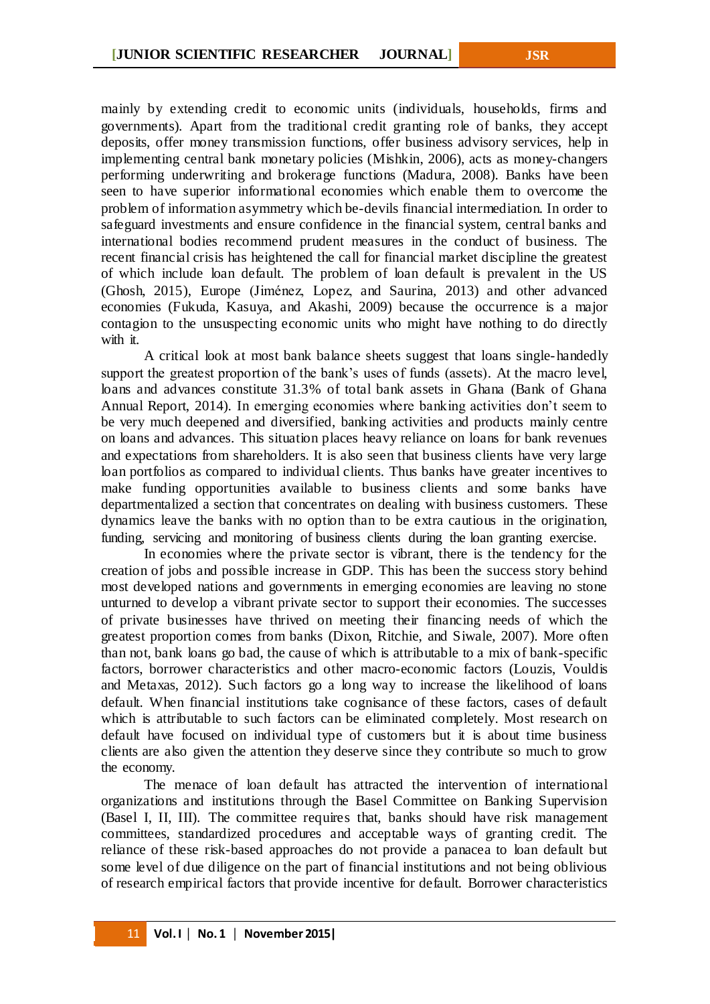mainly by extending credit to economic units (individuals, households, firms and governments). Apart from the traditional credit granting role of banks, they accept deposits, offer money transmission functions, offer business advisory services, help in implementing central bank monetary policies (Mishkin, 2006), acts as money-changers performing underwriting and brokerage functions (Madura, 2008). Banks have been seen to have superior informational economies which enable them to overcome the problem of information asymmetry which be-devils financial intermediation. In order to safeguard investments and ensure confidence in the financial system, central banks and international bodies recommend prudent measures in the conduct of business. The recent financial crisis has heightened the call for financial market discipline the greatest of which include loan default. The problem of loan default is prevalent in the US (Ghosh, 2015), Europe (Jiménez, Lopez, and Saurina, 2013) and other advanced economies (Fukuda, Kasuya, and Akashi, 2009) because the occurrence is a major contagion to the unsuspecting economic units who might have nothing to do directly with it.

A critical look at most bank balance sheets suggest that loans single-handedly support the greatest proportion of the bank's uses of funds (assets). At the macro level, loans and advances constitute 31.3% of total bank assets in Ghana (Bank of Ghana Annual Report, 2014). In emerging economies where banking activities don't seem to be very much deepened and diversified, banking activities and products mainly centre on loans and advances. This situation places heavy reliance on loans for bank revenues and expectations from shareholders. It is also seen that business clients have very large loan portfolios as compared to individual clients. Thus banks have greater incentives to make funding opportunities available to business clients and some banks have departmentalized a section that concentrates on dealing with business customers. These dynamics leave the banks with no option than to be extra cautious in the origination, funding, servicing and monitoring of business clients during the loan granting exercise.

In economies where the private sector is vibrant, there is the tendency for the creation of jobs and possible increase in GDP. This has been the success story behind most developed nations and governments in emerging economies are leaving no stone unturned to develop a vibrant private sector to support their economies. The successes of private businesses have thrived on meeting their financing needs of which the greatest proportion comes from banks (Dixon, Ritchie, and Siwale, 2007). More often than not, bank loans go bad, the cause of which is attributable to a mix of bank-specific factors, borrower characteristics and other macro-economic factors (Louzis, Vouldis and Metaxas, 2012). Such factors go a long way to increase the likelihood of loans default. When financial institutions take cognisance of these factors, cases of default which is attributable to such factors can be eliminated completely. Most research on default have focused on individual type of customers but it is about time business clients are also given the attention they deserve since they contribute so much to grow the economy.

The menace of loan default has attracted the intervention of international organizations and institutions through the Basel Committee on Banking Supervision (Basel I, II, III). The committee requires that, banks should have risk management committees, standardized procedures and acceptable ways of granting credit. The reliance of these risk-based approaches do not provide a panacea to loan default but some level of due diligence on the part of financial institutions and not being oblivious of research empirical factors that provide incentive for default. Borrower characteristics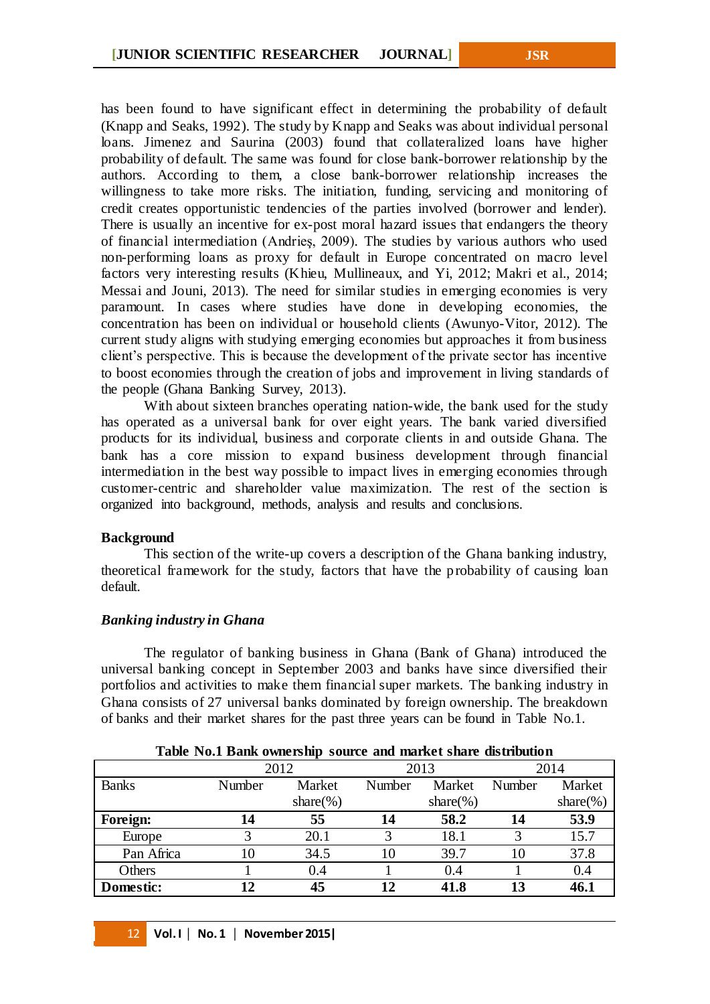has been found to have significant effect in determining the probability of default (Knapp and Seaks, 1992). The study by Knapp and Seaks was about individual personal loans. Jimenez and Saurina (2003) found that collateralized loans have higher probability of default. The same was found for close bank-borrower relationship by the authors. According to them, a close bank-borrower relationship increases the willingness to take more risks. The initiation, funding, servicing and monitoring of credit creates opportunistic tendencies of the parties involved (borrower and lender). There is usually an incentive for ex-post moral hazard issues that endangers the theory of financial intermediation (Andrieş, 2009). The studies by various authors who used non-performing loans as proxy for default in Europe concentrated on macro level factors very interesting results (Khieu, Mullineaux, and Yi, 2012; Makri et al., 2014; Messai and Jouni, 2013). The need for similar studies in emerging economies is very paramount. In cases where studies have done in developing economies, the concentration has been on individual or household clients (Awunyo-Vitor, 2012). The current study aligns with studying emerging economies but approaches it from business client's perspective. This is because the development of the private sector has incentive to boost economies through the creation of jobs and improvement in living standards of the people (Ghana Banking Survey, 2013).

With about sixteen branches operating nation-wide, the bank used for the study has operated as a universal bank for over eight years. The bank varied diversified products for its individual, business and corporate clients in and outside Ghana. The bank has a core mission to expand business development through financial intermediation in the best way possible to impact lives in emerging economies through customer-centric and shareholder value maximization. The rest of the section is organized into background, methods, analysis and results and conclusions.

## **Background**

This section of the write-up covers a description of the Ghana banking industry, theoretical framework for the study, factors that have the probability of causing loan default.

## *Banking industry in Ghana*

The regulator of banking business in Ghana (Bank of Ghana) introduced the universal banking concept in September 2003 and banks have since diversified their portfolios and activities to make them financial super markets. The banking industry in Ghana consists of 27 universal banks dominated by foreign ownership. The breakdown of banks and their market shares for the past three years can be found in Table No.1.

| Table IVO.I Dailly Ownership Source and market share uistribution |                  |              |        |              |        |              |  |  |
|-------------------------------------------------------------------|------------------|--------------|--------|--------------|--------|--------------|--|--|
|                                                                   |                  | 2012         |        | 2013         | 2014   |              |  |  |
| <b>Banks</b>                                                      | Market<br>Number |              | Number | Market       | Number | Market       |  |  |
|                                                                   |                  | share $(\%)$ |        | share $(\%)$ |        | share $(\%)$ |  |  |
| Foreign:                                                          | 14               | 55           | 14     | 58.2         | 14     | 53.9         |  |  |
| Europe                                                            |                  | 20.1         | 3      | 18.1         |        | 15.7         |  |  |
| Pan Africa                                                        | 10               | 34.5         | 10     | 39.7         | 10     | 37.8         |  |  |
| Others                                                            |                  | 0.4          |        | 0.4          |        | 0.4          |  |  |
| Domestic:                                                         | 12               | 45           | 12     | 41.8         | 13     | 46.1         |  |  |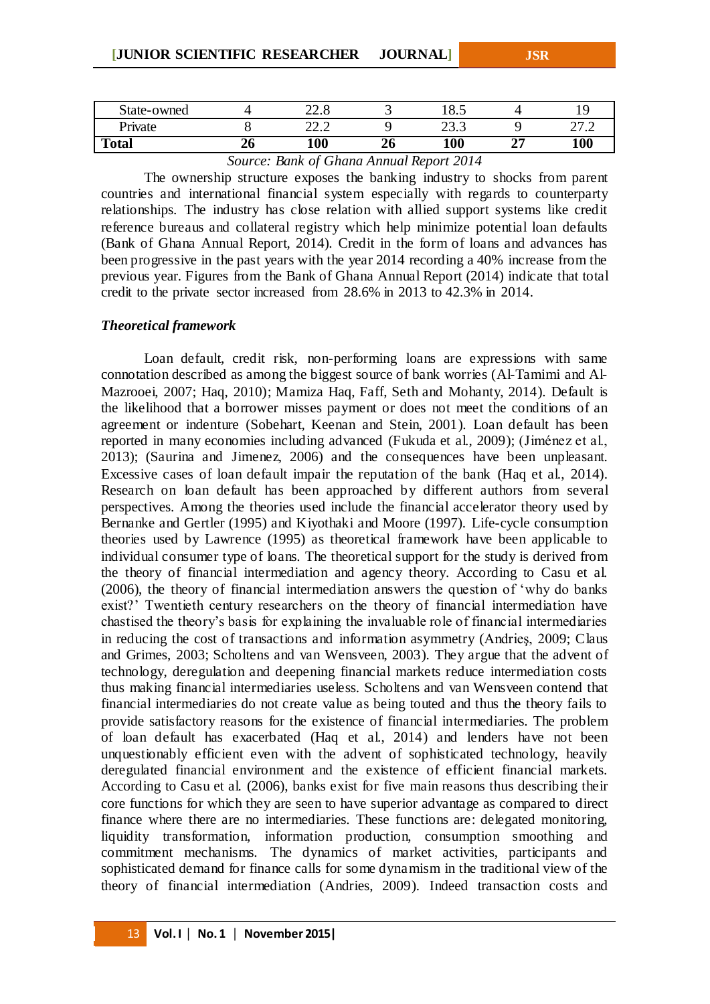| State-owned  |    | ററ റ<br>44.0                    | ັ              | 18.3                   |                                                |
|--------------|----|---------------------------------|----------------|------------------------|------------------------------------------------|
| Private      |    | $\cap$ $\cap$<br>44.4           |                | $\cap$ $\cap$<br>ر. رے | $\mathcal{L}$<br>$\overline{a}$ $\overline{b}$ |
| <b>Total</b> | ZU | 100                             | 26             | 100                    | 100                                            |
|              |    | $\sim$ $\sim$ 1<br><sup>n</sup> | 1 <sub>n</sub> |                        |                                                |

### *Source: Bank of Ghana Annual Report 2014*

The ownership structure exposes the banking industry to shocks from parent countries and international financial system especially with regards to counterparty relationships. The industry has close relation with allied support systems like credit reference bureaus and collateral registry which help minimize potential loan defaults (Bank of Ghana Annual Report, 2014). Credit in the form of loans and advances has been progressive in the past years with the year 2014 recording a 40% increase from the previous year. Figures from the Bank of Ghana Annual Report (2014) indicate that total credit to the private sector increased from 28.6% in 2013 to 42.3% in 2014.

#### *Theoretical framework*

Loan default, credit risk, non-performing loans are expressions with same connotation described as among the biggest source of bank worries (Al-Tamimi and Al-Mazrooei, 2007; Haq, 2010); Mamiza Haq, Faff, Seth and Mohanty, 2014). Default is the likelihood that a borrower misses payment or does not meet the conditions of an agreement or indenture (Sobehart, Keenan and Stein, 2001). Loan default has been reported in many economies including advanced (Fukuda et al., 2009); (Jiménez et al., 2013); (Saurina and Jimenez, 2006) and the consequences have been unpleasant. Excessive cases of loan default impair the reputation of the bank (Haq et al., 2014). Research on loan default has been approached by different authors from several perspectives. Among the theories used include the financial accelerator theory used by Bernanke and Gertler (1995) and Kiyothaki and Moore (1997). Life-cycle consumption theories used by Lawrence (1995) as theoretical framework have been applicable to individual consumer type of loans. The theoretical support for the study is derived from the theory of financial intermediation and agency theory. According to Casu et al. (2006), the theory of financial intermediation answers the question of 'why do banks exist?' Twentieth century researchers on the theory of financial intermediation have chastised the theory's basis for explaining the invaluable role of financial intermediaries in reducing the cost of transactions and information asymmetry (Andrieş, 2009; Claus and Grimes, 2003; Scholtens and van Wensveen, 2003). They argue that the advent of technology, deregulation and deepening financial markets reduce intermediation costs thus making financial intermediaries useless. Scholtens and van Wensveen contend that financial intermediaries do not create value as being touted and thus the theory fails to provide satisfactory reasons for the existence of financial intermediaries. The problem of loan default has exacerbated (Haq et al., 2014) and lenders have not been unquestionably efficient even with the advent of sophisticated technology, heavily deregulated financial environment and the existence of efficient financial markets. According to Casu et al. (2006), banks exist for five main reasons thus describing their core functions for which they are seen to have superior advantage as compared to direct finance where there are no intermediaries. These functions are: delegated monitoring, liquidity transformation, information production, consumption smoothing and commitment mechanisms. The dynamics of market activities, participants and sophisticated demand for finance calls for some dynamism in the traditional view of the theory of financial intermediation (Andries, 2009). Indeed transaction costs and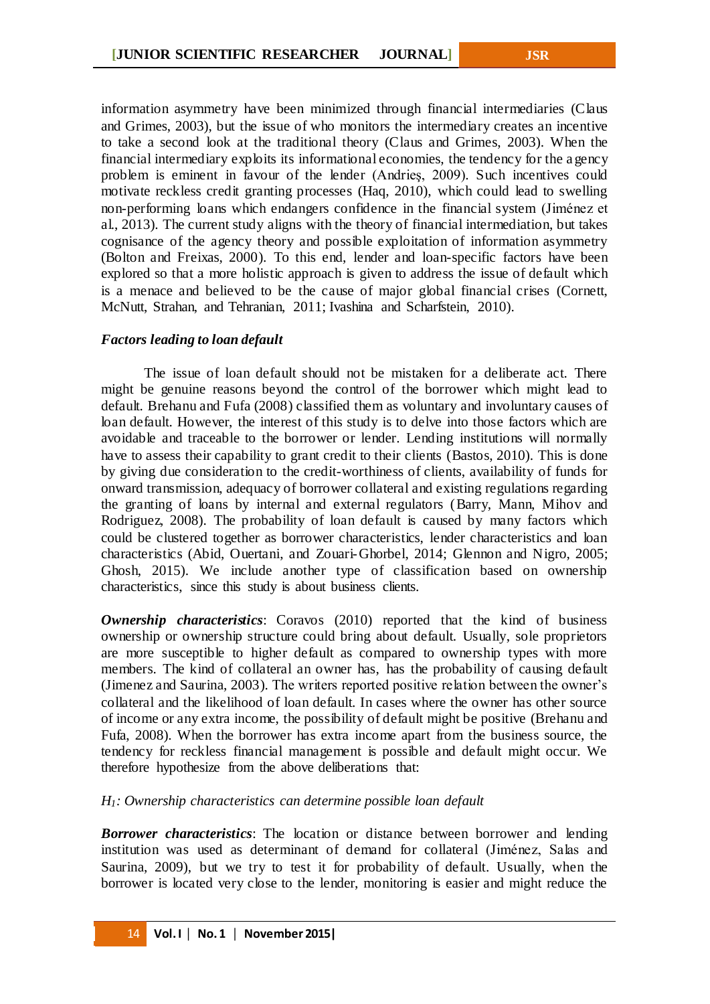information asymmetry have been minimized through financial intermediaries (Claus and Grimes, 2003), but the issue of who monitors the intermediary creates an incentive to take a second look at the traditional theory (Claus and Grimes, 2003). When the financial intermediary exploits its informational economies, the tendency for the a gency problem is eminent in favour of the lender (Andrieş, 2009). Such incentives could motivate reckless credit granting processes (Haq, 2010), which could lead to swelling non-performing loans which endangers confidence in the financial system (Jiménez et al., 2013). The current study aligns with the theory of financial intermediation, but takes cognisance of the agency theory and possible exploitation of information asymmetry (Bolton and Freixas, 2000). To this end, lender and loan-specific factors have been explored so that a more holistic approach is given to address the issue of default which is a menace and believed to be the cause of major global financial crises (Cornett, McNutt, Strahan, and Tehranian, 2011; Ivashina and Scharfstein, 2010).

### *Factors leading to loan default*

The issue of loan default should not be mistaken for a deliberate act. There might be genuine reasons beyond the control of the borrower which might lead to default. Brehanu and Fufa (2008) classified them as voluntary and involuntary causes of loan default. However, the interest of this study is to delve into those factors which are avoidable and traceable to the borrower or lender. Lending institutions will normally have to assess their capability to grant credit to their clients (Bastos, 2010). This is done by giving due consideration to the credit-worthiness of clients, availability of funds for onward transmission, adequacy of borrower collateral and existing regulations regarding the granting of loans by internal and external regulators (Barry, Mann, Mihov and Rodriguez, 2008). The probability of loan default is caused by many factors which could be clustered together as borrower characteristics, lender characteristics and loan characteristics (Abid, Ouertani, and Zouari-Ghorbel, 2014; Glennon and Nigro, 2005; Ghosh, 2015). We include another type of classification based on ownership characteristics, since this study is about business clients.

*Ownership characteristics*: Coravos (2010) reported that the kind of business ownership or ownership structure could bring about default. Usually, sole proprietors are more susceptible to higher default as compared to ownership types with more members. The kind of collateral an owner has, has the probability of causing default (Jimenez and Saurina, 2003). The writers reported positive relation between the owner's collateral and the likelihood of loan default. In cases where the owner has other source of income or any extra income, the possibility of default might be positive (Brehanu and Fufa, 2008). When the borrower has extra income apart from the business source, the tendency for reckless financial management is possible and default might occur. We therefore hypothesize from the above deliberations that:

*H1: Ownership characteristics can determine possible loan default*

*Borrower characteristics*: The location or distance between borrower and lending institution was used as determinant of demand for collateral (Jiménez, Salas and Saurina, 2009), but we try to test it for probability of default. Usually, when the borrower is located very close to the lender, monitoring is easier and might reduce the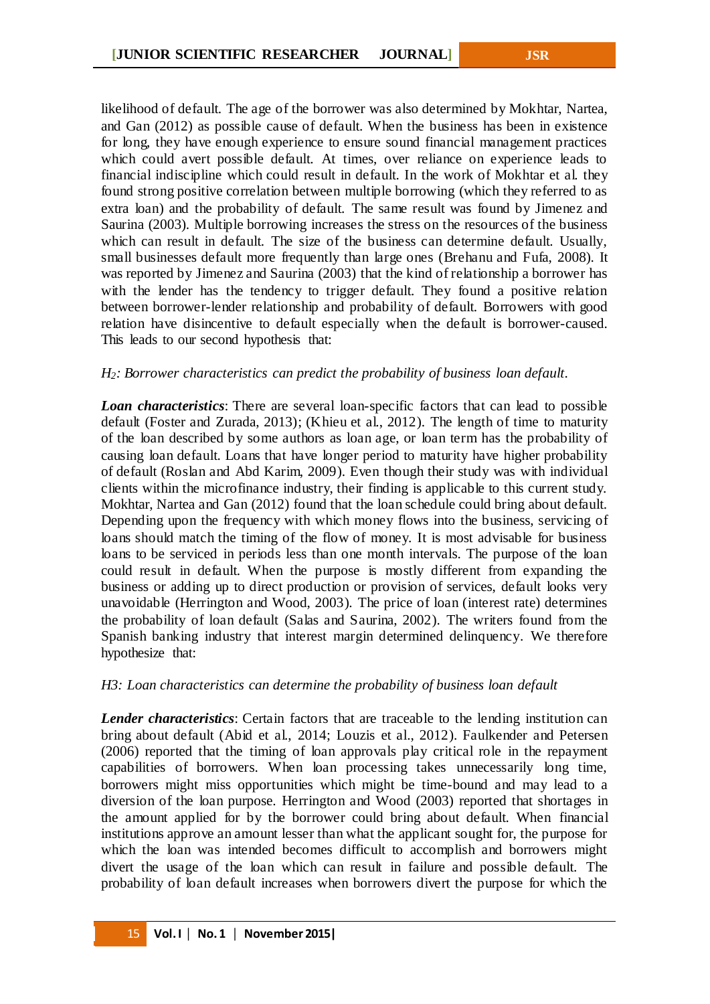likelihood of default. The age of the borrower was also determined by Mokhtar, Nartea, and Gan (2012) as possible cause of default. When the business has been in existence for long, they have enough experience to ensure sound financial management practices which could avert possible default. At times, over reliance on experience leads to financial indiscipline which could result in default. In the work of Mokhtar et al. they found strong positive correlation between multiple borrowing (which they referred to as extra loan) and the probability of default. The same result was found by Jimenez and Saurina (2003). Multiple borrowing increases the stress on the resources of the business which can result in default. The size of the business can determine default. Usually, small businesses default more frequently than large ones (Brehanu and Fufa, 2008). It was reported by Jimenez and Saurina (2003) that the kind of relationship a borrower has with the lender has the tendency to trigger default. They found a positive relation between borrower-lender relationship and probability of default. Borrowers with good relation have disincentive to default especially when the default is borrower-caused. This leads to our second hypothesis that:

## *H2: Borrower characteristics can predict the probability of business loan default.*

*Loan characteristics*: There are several loan-specific factors that can lead to possible default (Foster and Zurada, 2013); (Khieu et al., 2012). The length of time to maturity of the loan described by some authors as loan age, or loan term has the probability of causing loan default. Loans that have longer period to maturity have higher probability of default (Roslan and Abd Karim, 2009). Even though their study was with individual clients within the microfinance industry, their finding is applicable to this current study. Mokhtar, Nartea and Gan (2012) found that the loan schedule could bring about default. Depending upon the frequency with which money flows into the business, servicing of loans should match the timing of the flow of money. It is most advisable for business loans to be serviced in periods less than one month intervals. The purpose of the loan could result in default. When the purpose is mostly different from expanding the business or adding up to direct production or provision of services, default looks very unavoidable (Herrington and Wood, 2003). The price of loan (interest rate) determines the probability of loan default (Salas and Saurina, 2002). The writers found from the Spanish banking industry that interest margin determined delinquency. We therefore hypothesize that:

## *H3: Loan characteristics can determine the probability of business loan default*

*Lender characteristics*: Certain factors that are traceable to the lending institution can bring about default (Abid et al., 2014; Louzis et al., 2012). Faulkender and Petersen (2006) reported that the timing of loan approvals play critical role in the repayment capabilities of borrowers. When loan processing takes unnecessarily long time, borrowers might miss opportunities which might be time-bound and may lead to a diversion of the loan purpose. Herrington and Wood (2003) reported that shortages in the amount applied for by the borrower could bring about default. When financial institutions approve an amount lesser than what the applicant sought for, the purpose for which the loan was intended becomes difficult to accomplish and borrowers might divert the usage of the loan which can result in failure and possible default. The probability of loan default increases when borrowers divert the purpose for which the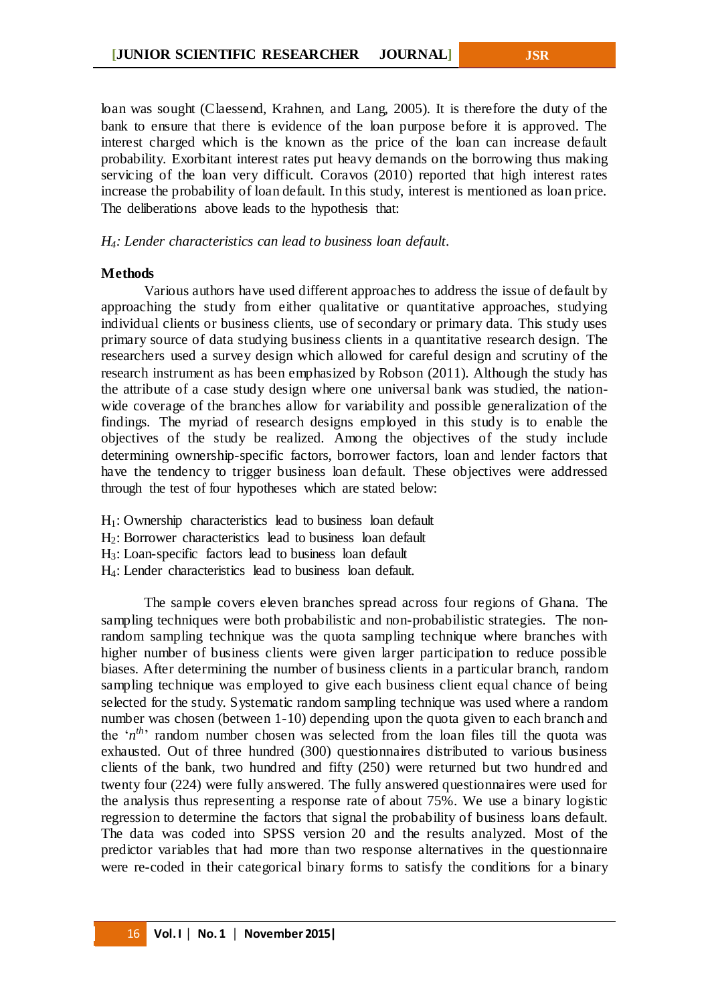loan was sought (Claessend, Krahnen, and Lang, 2005). It is therefore the duty of the bank to ensure that there is evidence of the loan purpose before it is approved. The interest charged which is the known as the price of the loan can increase default probability. Exorbitant interest rates put heavy demands on the borrowing thus making servicing of the loan very difficult. Coravos (2010) reported that high interest rates increase the probability of loan default. In this study, interest is mentioned as loan price. The deliberations above leads to the hypothesis that:

#### *H4: Lender characteristics can lead to business loan default.*

#### **Methods**

Various authors have used different approaches to address the issue of default by approaching the study from either qualitative or quantitative approaches, studying individual clients or business clients, use of secondary or primary data. This study uses primary source of data studying business clients in a quantitative research design. The researchers used a survey design which allowed for careful design and scrutiny of the research instrument as has been emphasized by Robson (2011). Although the study has the attribute of a case study design where one universal bank was studied, the nationwide coverage of the branches allow for variability and possible generalization of the findings. The myriad of research designs employed in this study is to enable the objectives of the study be realized. Among the objectives of the study include determining ownership-specific factors, borrower factors, loan and lender factors that have the tendency to trigger business loan default. These objectives were addressed through the test of four hypotheses which are stated below:

 $H_1$ : Ownership characteristics lead to business loan default

H2: Borrower characteristics lead to business loan default

H3: Loan-specific factors lead to business loan default

H4: Lender characteristics lead to business loan default.

The sample covers eleven branches spread across four regions of Ghana. The sampling techniques were both probabilistic and non-probabilistic strategies. The nonrandom sampling technique was the quota sampling technique where branches with higher number of business clients were given larger participation to reduce possible biases. After determining the number of business clients in a particular branch, random sampling technique was employed to give each business client equal chance of being selected for the study. Systematic random sampling technique was used where a random number was chosen (between 1-10) depending upon the quota given to each branch and the 'n<sup>th</sup>' random number chosen was selected from the loan files till the quota was exhausted. Out of three hundred (300) questionnaires distributed to various business clients of the bank, two hundred and fifty (250) were returned but two hundred and twenty four (224) were fully answered. The fully answered questionnaires were used for the analysis thus representing a response rate of about 75%. We use a binary logistic regression to determine the factors that signal the probability of business loans default. The data was coded into SPSS version 20 and the results analyzed. Most of the predictor variables that had more than two response alternatives in the questionnaire were re-coded in their categorical binary forms to satisfy the conditions for a binary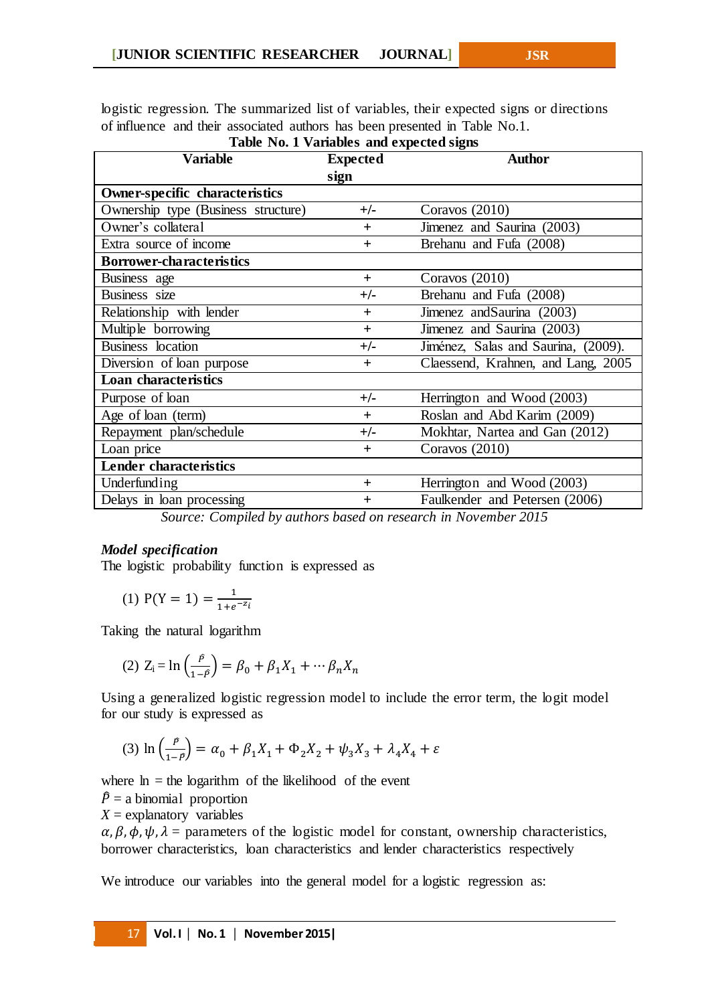logistic regression. The summarized list of variables, their expected signs or directions of influence and their associated authors has been presented in Table No.1. **Table No. 1 Variables and expected signs**

| Table TW. I Variables and expected signs |                 |                                     |  |  |  |  |  |
|------------------------------------------|-----------------|-------------------------------------|--|--|--|--|--|
| Variable                                 | <b>Expected</b> | <b>Author</b>                       |  |  |  |  |  |
|                                          | sign            |                                     |  |  |  |  |  |
| Owner-specific characteristics           |                 |                                     |  |  |  |  |  |
| Ownership type (Business structure)      | $+/-$           | Coravos (2010)                      |  |  |  |  |  |
| Owner's collateral                       | $+$             | Jimenez and Saurina (2003)          |  |  |  |  |  |
| Extra source of income                   | $+$             | Brehanu and Fufa (2008)             |  |  |  |  |  |
| <b>Borrower-characteristics</b>          |                 |                                     |  |  |  |  |  |
| Business age                             | $+$             | Coravos $(2010)$                    |  |  |  |  |  |
| Business size                            | +/-             | Brehanu and Fufa (2008)             |  |  |  |  |  |
| Relationship with lender                 | $+$             | Jimenez and Saurina (2003)          |  |  |  |  |  |
| Multiple borrowing                       | $+$             | Jimenez and Saurina (2003)          |  |  |  |  |  |
| Business location                        | +/-             | Jiménez, Salas and Saurina, (2009). |  |  |  |  |  |
| Diversion of loan purpose                | $+$             | Claessend, Krahnen, and Lang, 2005  |  |  |  |  |  |
| <b>Loan characteristics</b>              |                 |                                     |  |  |  |  |  |
| Purpose of loan                          | $+/-$           | Herrington and Wood (2003)          |  |  |  |  |  |
| Age of loan (term)                       | $+$             | Roslan and Abd Karim (2009)         |  |  |  |  |  |
| Repayment plan/schedule                  | +/-             | Mokhtar, Nartea and Gan (2012)      |  |  |  |  |  |
| Loan price                               | $+$             | Coravos $(2010)$                    |  |  |  |  |  |
| <b>Lender characteristics</b>            |                 |                                     |  |  |  |  |  |
| Underfunding                             | $\pm$           | Herrington and Wood (2003)          |  |  |  |  |  |
| Delays in loan processing                | $\pm$           | Faulkender and Petersen (2006)      |  |  |  |  |  |

*Source: Compiled by authors based on research in November 2015*

## *Model specification*

The logistic probability function is expressed as

(1) 
$$
P(Y = 1) = \frac{1}{1 + e^{-z_i}}
$$

Taking the natural logarithm

(2) 
$$
Z_i = \ln\left(\frac{p}{1-p}\right) = \beta_0 + \beta_1 X_1 + \cdots \beta_n X_n
$$

Using a generalized logistic regression model to include the error term, the logit model for our study is expressed as

(3) 
$$
\ln\left(\frac{p}{1-p}\right) = \alpha_0 + \beta_1 X_1 + \Phi_2 X_2 + \psi_3 X_3 + \lambda_4 X_4 + \varepsilon
$$

where  $ln = the logarithm$  of the likelihood of the event

 $\hat{P}$  = a binomial proportion

 $X =$  explanatory variables

 $\alpha$ ,  $\beta$ ,  $\phi$ ,  $\psi$ ,  $\lambda$  = parameters of the logistic model for constant, ownership characteristics, borrower characteristics, loan characteristics and lender characteristics respectively

We introduce our variables into the general model for a logistic regression as: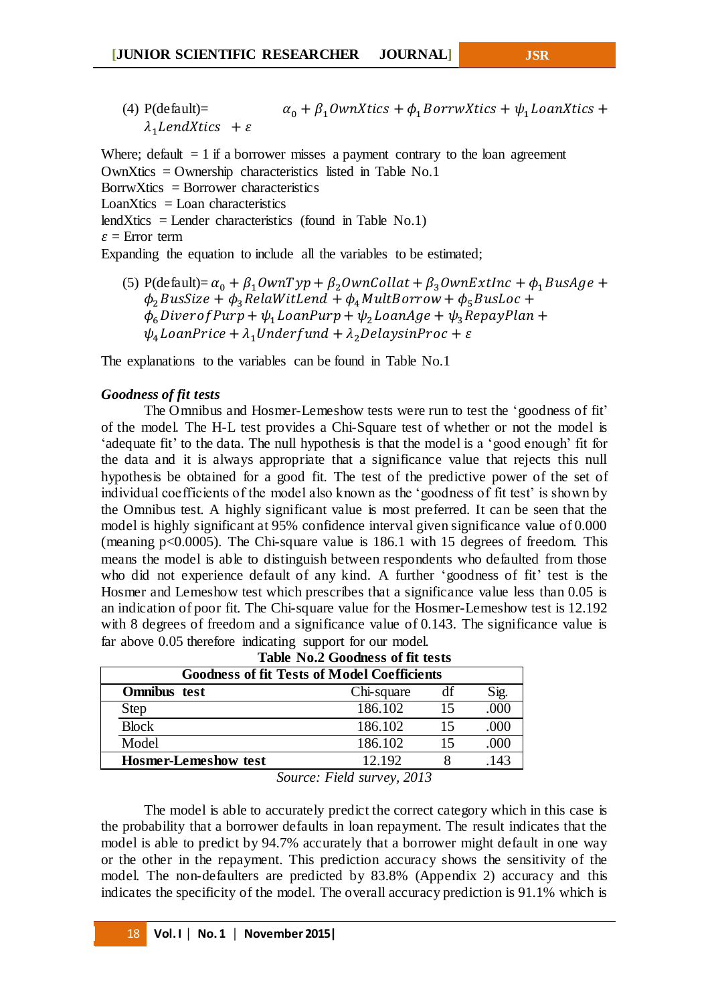(4) P(default)=  $\alpha_0 + \beta_1$  *OwnXtics* +  $\phi_1$  *BorrwXtics* +  $\psi_1$  *LoanXtics* +  $\lambda_1$ LendXtics +  $\varepsilon$ 

Where; default  $= 1$  if a borrower misses a payment contrary to the loan agreement OwnXtics = Ownership characteristics listed in Table No.1  $BorrwXtics = Borrower characteristic s$  $LoanX$ tics =  $Loan$  characteristics lendXtics = Lender characteristics (found in Table No.1)  $\varepsilon$  = Error term Expanding the equation to include all the variables to be estimated;

(5) P(default)=  $\alpha_0 + \beta_1$ OwnTyp +  $\beta_2$ OwnCollat +  $\beta_3$ OwnExtInc +  $\phi_1$ BusAge +  $\phi_2$ BusSize +  $\phi_3$  RelaWitLend +  $\phi_4$ MultBorrow +  $\phi_5$ BusLoc +  $\phi_6$  Diver of Purp +  $\psi_1$  Loan Purp +  $\psi_2$  Loan Age +  $\psi_3$  Repay Plan +  $\psi_{A}$  LoanPrice +  $\lambda_{1}$ Underfund +  $\lambda_{2}$ DelaysinProc +  $\varepsilon$ 

The explanations to the variables can be found in Table No.1

## *Goodness of fit tests*

The Omnibus and Hosmer-Lemeshow tests were run to test the 'goodness of fit' of the model. The H-L test provides a Chi-Square test of whether or not the model is 'adequate fit' to the data. The null hypothesis is that the model is a 'good enough' fit for the data and it is always appropriate that a significance value that rejects this null hypothesis be obtained for a good fit. The test of the predictive power of the set of individual coefficients of the model also known as the 'goodness of fit test' is shown by the Omnibus test. A highly significant value is most preferred. It can be seen that the model is highly significant at 95% confidence interval given significance value of 0.000 (meaning p<0.0005). The Chi-square value is 186.1 with 15 degrees of freedom. This means the model is able to distinguish between respondents who defaulted from those who did not experience default of any kind. A further 'goodness of fit' test is the Hosmer and Lemeshow test which prescribes that a significance value less than 0.05 is an indication of poor fit. The Chi-square value for the Hosmer-Lemeshow test is 12.192 with 8 degrees of freedom and a significance value of 0.143. The significance value is far above 0.05 therefore indicating support for our model.

| Table No.2 Goodness of fit tests                   |            |    |        |  |  |  |
|----------------------------------------------------|------------|----|--------|--|--|--|
| <b>Goodness of fit Tests of Model Coefficients</b> |            |    |        |  |  |  |
| Omnibus test                                       | Chi-square | df | Sig.   |  |  |  |
| Step                                               | 186.102    | 15 | .000   |  |  |  |
| <b>Block</b>                                       | 186.102    | 15 | .000   |  |  |  |
| Model                                              | 186.102    | 15 | .000   |  |  |  |
| <b>Hosmer-Lemeshow test</b>                        | 12.192     |    | $14^2$ |  |  |  |

*Source: Field survey, 2013*

The model is able to accurately predict the correct category which in this case is the probability that a borrower defaults in loan repayment. The result indicates that the model is able to predict by 94.7% accurately that a borrower might default in one way or the other in the repayment. This prediction accuracy shows the sensitivity of the model. The non-defaulters are predicted by 83.8% (Appendix 2) accuracy and this indicates the specificity of the model. The overall accuracy prediction is 91.1% which is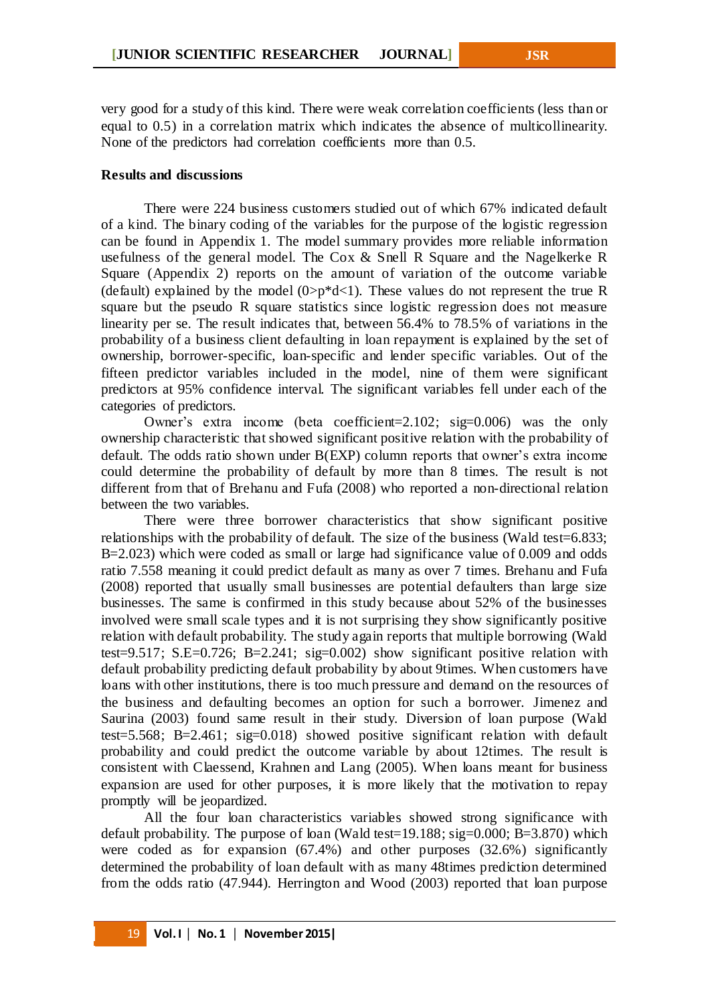very good for a study of this kind. There were weak correlation coefficients (less than or equal to 0.5) in a correlation matrix which indicates the absence of multicollinearity. None of the predictors had correlation coefficients more than 0.5.

### **Results and discussions**

There were 224 business customers studied out of which 67% indicated default of a kind. The binary coding of the variables for the purpose of the logistic regression can be found in Appendix 1. The model summary provides more reliable information usefulness of the general model. The Cox & Snell R Square and the Nagelkerke R Square (Appendix 2) reports on the amount of variation of the outcome variable (default) explained by the model  $(0\rightarrow p^*d<1)$ . These values do not represent the true R square but the pseudo R square statistics since logistic regression does not measure linearity per se. The result indicates that, between 56.4% to 78.5% of variations in the probability of a business client defaulting in loan repayment is explained by the set of ownership, borrower-specific, loan-specific and lender specific variables. Out of the fifteen predictor variables included in the model, nine of them were significant predictors at 95% confidence interval. The significant variables fell under each of the categories of predictors.

Owner's extra income (beta coefficient=2.102; sig=0.006) was the only ownership characteristic that showed significant positive relation with the probability of default. The odds ratio shown under B(EXP) column reports that owner's extra income could determine the probability of default by more than 8 times. The result is not different from that of Brehanu and Fufa (2008) who reported a non-directional relation between the two variables.

There were three borrower characteristics that show significant positive relationships with the probability of default. The size of the business (Wald test=6.833; B=2.023) which were coded as small or large had significance value of 0.009 and odds ratio 7.558 meaning it could predict default as many as over 7 times. Brehanu and Fufa (2008) reported that usually small businesses are potential defaulters than large size businesses. The same is confirmed in this study because about 52% of the businesses involved were small scale types and it is not surprising they show significantly positive relation with default probability. The study again reports that multiple borrowing (Wald test=9.517; S.E=0.726; B=2.241; sig=0.002) show significant positive relation with default probability predicting default probability by about 9times. When customers have loans with other institutions, there is too much pressure and demand on the resources of the business and defaulting becomes an option for such a borrower. Jimenez and Saurina (2003) found same result in their study. Diversion of loan purpose (Wald test=5.568; B=2.461; sig=0.018) showed positive significant relation with default probability and could predict the outcome variable by about 12times. The result is consistent with Claessend, Krahnen and Lang (2005). When loans meant for business expansion are used for other purposes, it is more likely that the motivation to repay promptly will be jeopardized.

All the four loan characteristics variables showed strong significance with default probability. The purpose of loan (Wald test=19.188; sig=0.000; B=3.870) which were coded as for expansion (67.4%) and other purposes (32.6%) significantly determined the probability of loan default with as many 48times prediction determined from the odds ratio (47.944). Herrington and Wood (2003) reported that loan purpose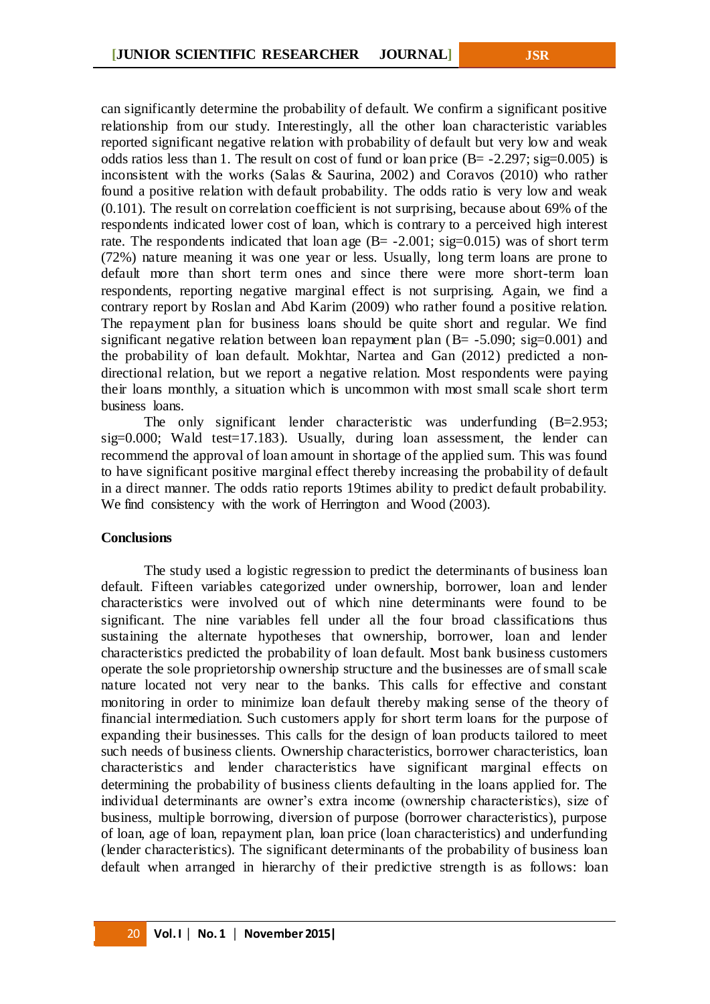can significantly determine the probability of default. We confirm a significant positive relationship from our study. Interestingly, all the other loan characteristic variables reported significant negative relation with probability of default but very low and weak odds ratios less than 1. The result on cost of fund or loan price  $(B = -2.297; sig=0.005)$  is inconsistent with the works (Salas & Saurina, 2002) and Coravos (2010) who rather found a positive relation with default probability. The odds ratio is very low and weak (0.101). The result on correlation coefficient is not surprising, because about 69% of the respondents indicated lower cost of loan, which is contrary to a perceived high interest rate. The respondents indicated that loan age  $(B = -2.001; sig=0.015)$  was of short term (72%) nature meaning it was one year or less. Usually, long term loans are prone to default more than short term ones and since there were more short-term loan respondents, reporting negative marginal effect is not surprising. Again, we find a contrary report by Roslan and Abd Karim (2009) who rather found a positive relation. The repayment plan for business loans should be quite short and regular. We find significant negative relation between loan repayment plan  $(B = -5.090; sig=0.001)$  and the probability of loan default. Mokhtar, Nartea and Gan (2012) predicted a nondirectional relation, but we report a negative relation. Most respondents were paying their loans monthly, a situation which is uncommon with most small scale short term business loans.

The only significant lender characteristic was underfunding (B=2.953; sig=0.000; Wald test=17.183). Usually, during loan assessment, the lender can recommend the approval of loan amount in shortage of the applied sum. This was found to have significant positive marginal effect thereby increasing the probability of default in a direct manner. The odds ratio reports 19times ability to predict default probability. We find consistency with the work of Herrington and Wood (2003).

### **Conclusions**

The study used a logistic regression to predict the determinants of business loan default. Fifteen variables categorized under ownership, borrower, loan and lender characteristics were involved out of which nine determinants were found to be significant. The nine variables fell under all the four broad classifications thus sustaining the alternate hypotheses that ownership, borrower, loan and lender characteristics predicted the probability of loan default. Most bank business customers operate the sole proprietorship ownership structure and the businesses are of small scale nature located not very near to the banks. This calls for effective and constant monitoring in order to minimize loan default thereby making sense of the theory of financial intermediation. Such customers apply for short term loans for the purpose of expanding their businesses. This calls for the design of loan products tailored to meet such needs of business clients. Ownership characteristics, borrower characteristics, loan characteristics and lender characteristics have significant marginal effects on determining the probability of business clients defaulting in the loans applied for. The individual determinants are owner's extra income (ownership characteristics), size of business, multiple borrowing, diversion of purpose (borrower characteristics), purpose of loan, age of loan, repayment plan, loan price (loan characteristics) and underfunding (lender characteristics). The significant determinants of the probability of business loan default when arranged in hierarchy of their predictive strength is as follows: loan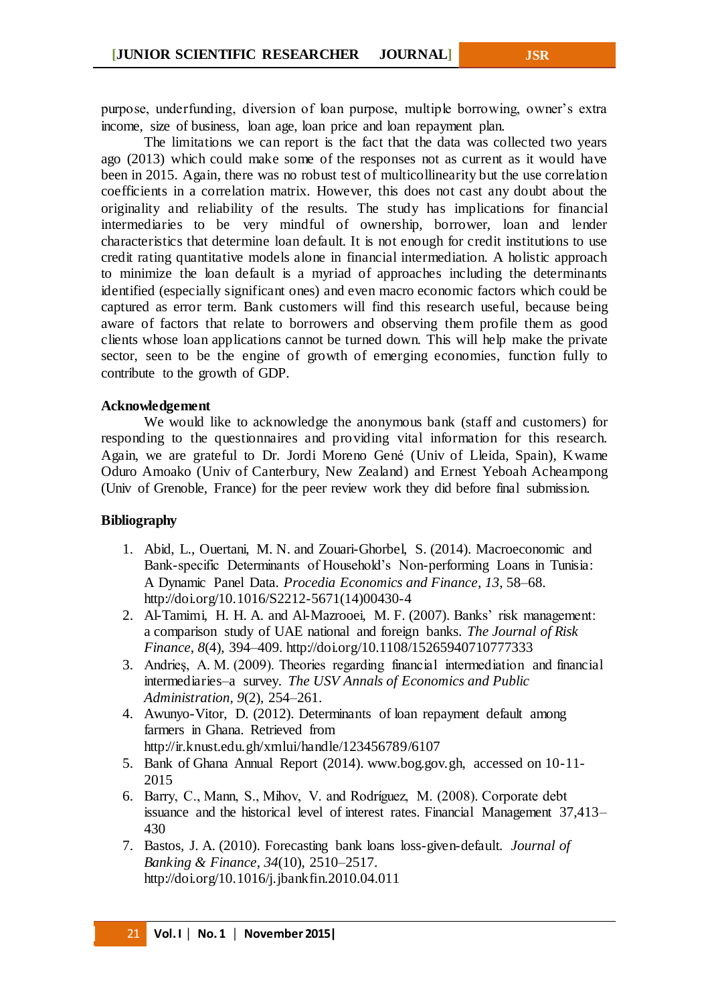purpose, underfunding, diversion of loan purpose, multiple borrowing, owner's extra income, size of business, loan age, loan price and loan repayment plan.

The limitations we can report is the fact that the data was collected two years ago (2013) which could make some of the responses not as current as it would have been in 2015. Again, there was no robust test of multicollinearity but the use correlation coefficients in a correlation matrix. However, this does not cast any doubt about the originality and reliability of the results. The study has implications for financial intermediaries to be very mindful of ownership, borrower, loan and lender characteristics that determine loan default. It is not enough for credit institutions to use credit rating quantitative models alone in financial intermediation. A holistic approach to minimize the loan default is a myriad of approaches including the determinants identified (especially significant ones) and even macro economic factors which could be captured as error term. Bank customers will find this research useful, because being aware of factors that relate to borrowers and observing them profile them as good clients whose loan applications cannot be turned down. This will help make the private sector, seen to be the engine of growth of emerging economies, function fully to contribute to the growth of GDP.

### **Acknowledgement**

We would like to acknowledge the anonymous bank (staff and customers) for responding to the questionnaires and providing vital information for this research. Again, we are grateful to Dr. Jordi Moreno Gené (Univ of Lleida, Spain), Kwame Oduro Amoako (Univ of Canterbury, New Zealand) and Ernest Yeboah Acheampong (Univ of Grenoble, France) for the peer review work they did before final submission.

### **Bibliography**

- 1. Abid, L., Ouertani, M. N. and Zouari-Ghorbel, S. (2014). Macroeconomic and Bank-specific Determinants of Household's Non-performing Loans in Tunisia: A Dynamic Panel Data. *Procedia Economics and Finance*, *13*, 58–68. http://doi.org/10.1016/S2212-5671(14)00430-4
- 2. Al-Tamimi, H. H. A. and Al-Mazrooei, M. F. (2007). Banks' risk management: a comparison study of UAE national and foreign banks. *The Journal of Risk Finance*, *8*(4), 394–409. http://doi.org/10.1108/15265940710777333
- 3. Andrieş, A. M. (2009). Theories regarding financial intermediation and financial intermediaries–a survey. *The USV Annals of Economics and Public Administration*, *9*(2), 254–261.
- 4. Awunyo-Vitor, D. (2012). Determinants of loan repayment default among farmers in Ghana. Retrieved from http://ir.knust.edu.gh/xmlui/handle/123456789/6107
- 5. Bank of Ghana Annual Report (2014). www.bog.gov.gh, accessed on 10-11- 2015
- 6. Barry, C., Mann, S., Mihov, V. and Rodríguez, M. (2008). Corporate debt issuance and the historical level of interest rates. Financial Management 37,413– 430
- 7. Bastos, J. A. (2010). Forecasting bank loans loss-given-default. *Journal of Banking & Finance*, *34*(10), 2510–2517. http://doi.org/10.1016/j.jbankfin.2010.04.011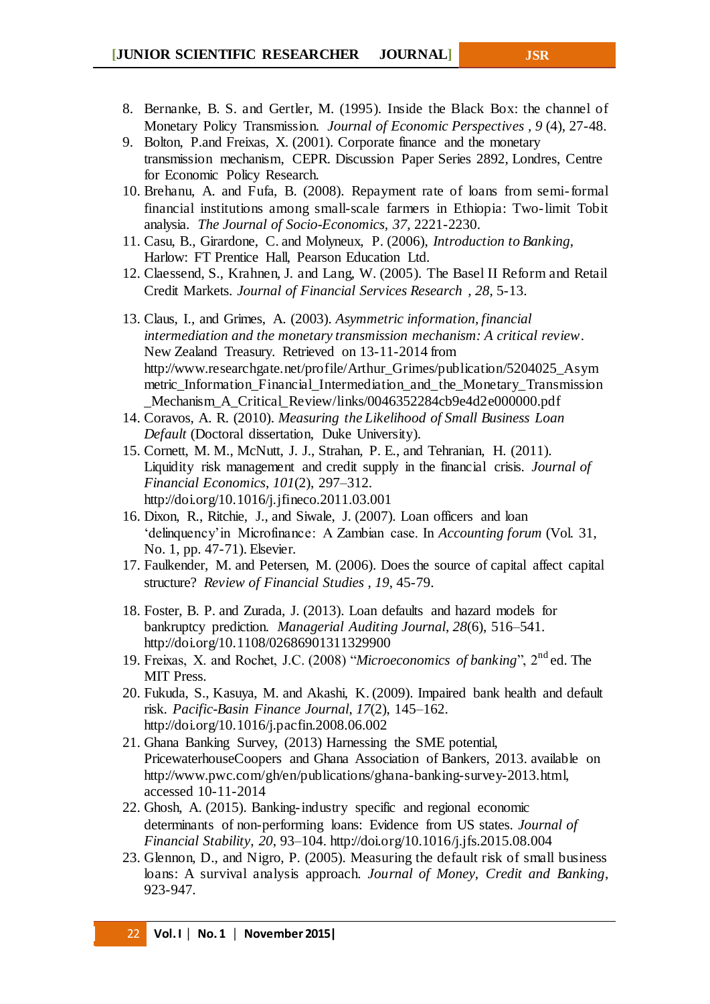- 8. Bernanke, B. S. and Gertler, M. (1995). Inside the Black Box: the channel of Monetary Policy Transmission. *Journal of Economic Perspectives , 9* (4), 27-48.
- 9. Bolton, P.and Freixas, X. (2001). Corporate finance and the monetary transmission mechanism, CEPR. Discussion Paper Series 2892, Londres, Centre for Economic Policy Research.
- 10. Brehanu, A. and Fufa, B. (2008). Repayment rate of loans from semi-formal financial institutions among small-scale farmers in Ethiopia: Two-limit Tobit analysia. *The Journal of Socio-Economics, 37*, 2221-2230.
- 11. Casu, B., Girardone, C. and Molyneux, P. (2006), *Introduction to Banking*, Harlow: FT Prentice Hall, Pearson Education Ltd.
- 12. Claessend, S., Krahnen, J. and Lang, W. (2005). The Basel II Reform and Retail Credit Markets. *Journal of Financial Services Research , 28*, 5-13.
- 13. Claus, I., and Grimes, A. (2003). *Asymmetric information, financial intermediation and the monetary transmission mechanism: A critical review*. New Zealand Treasury. Retrieved on 13-11-2014 from http://www.researchgate.net/profile/Arthur\_Grimes/publication/5204025\_Asym metric\_Information\_Financial\_Intermediation\_and\_the\_Monetary\_Transmission Mechanism A Critical Review/links/0046352284cb9e4d2e000000.pdf
- 14. Coravos, A. R. (2010). *Measuring the Likelihood of Small Business Loan Default* (Doctoral dissertation, Duke University).
- 15. Cornett, M. M., McNutt, J. J., Strahan, P. E., and Tehranian, H. (2011). Liquidity risk management and credit supply in the financial crisis. *Journal of Financial Economics*, *101*(2), 297–312. http://doi.org/10.1016/j.jfineco.2011.03.001
- 16. Dixon, R., Ritchie, J., and Siwale, J. (2007). Loan officers and loan 'delinquency'in Microfinance: A Zambian case. In *Accounting forum* (Vol. 31, No. 1, pp. 47-71). Elsevier.
- 17. Faulkender, M. and Petersen, M. (2006). Does the source of capital affect capital structure? *Review of Financial Studies , 19*, 45-79.
- 18. Foster, B. P. and Zurada, J. (2013). Loan defaults and hazard models for bankruptcy prediction. *Managerial Auditing Journal*, *28*(6), 516–541. http://doi.org/10.1108/02686901311329900
- 19. Freixas, X. and Rochet, J.C. (2008) "*Microeconomics of banking*", 2nd ed. The MIT Press.
- 20. Fukuda, S., Kasuya, M. and Akashi, K. (2009). Impaired bank health and default risk. *Pacific-Basin Finance Journal*, *17*(2), 145–162. http://doi.org/10.1016/j.pacfin.2008.06.002
- 21. Ghana Banking Survey, (2013) Harnessing the SME potential, PricewaterhouseCoopers and Ghana Association of Bankers, 2013. available on http://www.pwc.com/gh/en/publications/ghana-banking-survey-2013.html, accessed 10-11-2014
- 22. Ghosh, A. (2015). Banking-industry specific and regional economic determinants of non-performing loans: Evidence from US states. *Journal of Financial Stability*, *20*, 93–104. http://doi.org/10.1016/j.jfs.2015.08.004
- 23. Glennon, D., and Nigro, P. (2005). Measuring the default risk of small business loans: A survival analysis approach. *Journal of Money, Credit and Banking*, 923-947.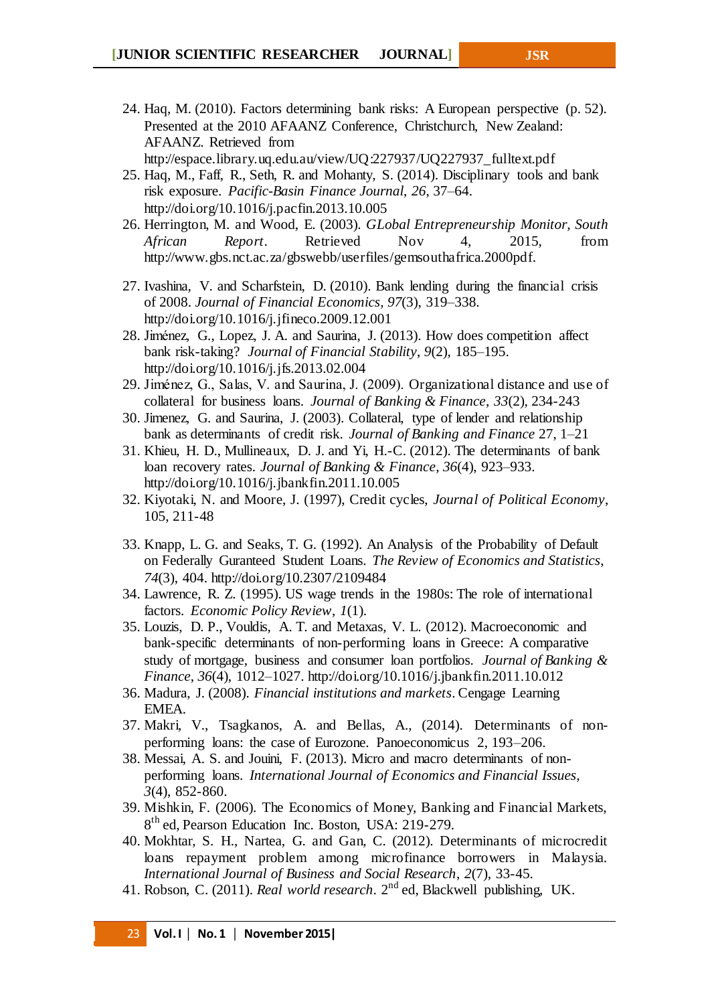- 24. Haq, M. (2010). Factors determining bank risks: A European perspective (p. 52). Presented at the 2010 AFAANZ Conference, Christchurch, New Zealand: AFAANZ. Retrieved from http://espace.library.uq.edu.au/view/UQ:227937/UQ227937\_fulltext.pdf
- 25. Haq, M., Faff, R., Seth, R. and Mohanty, S. (2014). Disciplinary tools and bank risk exposure. *Pacific-Basin Finance Journal*, *26*, 37–64. http://doi.org/10.1016/j.pacfin.2013.10.005
- 26. Herrington, M. and Wood, E. (2003). *GLobal Entrepreneurship Monitor, South African Report*. Retrieved Nov 4, 2015, from http://www.gbs.nct.ac.za/gbswebb/userfiles/gemsouthafrica.2000pdf.
- 27. Ivashina, V. and Scharfstein, D. (2010). Bank lending during the financial crisis of 2008. *Journal of Financial Economics*, *97*(3), 319–338. http://doi.org/10.1016/j.jfineco.2009.12.001
- 28. Jiménez, G., Lopez, J. A. and Saurina, J. (2013). How does competition affect bank risk-taking? *Journal of Financial Stability*, *9*(2), 185–195. http://doi.org/10.1016/j.jfs.2013.02.004
- 29. Jiménez, G., Salas, V. and Saurina, J. (2009). Organizational distance and use of collateral for business loans. *Journal of Banking & Finance*, *33*(2), 234-243
- 30. Jimenez, G. and Saurina, J. (2003). Collateral, type of lender and relationship bank as determinants of credit risk. *Journal of Banking and Finance* 27, 1–21
- 31. Khieu, H. D., Mullineaux, D. J. and Yi, H.-C. (2012). The determinants of bank loan recovery rates. *Journal of Banking & Finance*, *36*(4), 923–933. http://doi.org/10.1016/j.jbankfin.2011.10.005
- 32. Kiyotaki, N. and Moore, J. (1997), Credit cycles, *Journal of Political Economy*, 105, 211-48
- 33. Knapp, L. G. and Seaks, T. G. (1992). An Analysis of the Probability of Default on Federally Guranteed Student Loans. *The Review of Economics and Statistics*, *74*(3), 404. http://doi.org/10.2307/2109484
- 34. Lawrence, R. Z. (1995). US wage trends in the 1980s: The role of international factors. *Economic Policy Review*, *1*(1).
- 35. Louzis, D. P., Vouldis, A. T. and Metaxas, V. L. (2012). Macroeconomic and bank-specific determinants of non-performing loans in Greece: A comparative study of mortgage, business and consumer loan portfolios. *Journal of Banking & Finance*, *36*(4), 1012–1027. http://doi.org/10.1016/j.jbankfin.2011.10.012
- 36. Madura, J. (2008). *Financial institutions and markets*. Cengage Learning EMEA.
- 37. Makri, V., Tsagkanos, A. and Bellas, A., (2014). Determinants of nonperforming loans: the case of Eurozone. Panoeconomicus 2, 193–206.
- 38. Messai, A. S. and Jouini, F. (2013). Micro and macro determinants of nonperforming loans. *International Journal of Economics and Financial Issues*, *3*(4), 852-860.
- 39. Mishkin, F. (2006). The Economics of Money, Banking and Financial Markets, 8<sup>th</sup> ed, Pearson Education Inc. Boston, USA: 219-279.
- 40. Mokhtar, S. H., Nartea, G. and Gan, C. (2012). Determinants of microcredit loans repayment problem among microfinance borrowers in Malaysia. *International Journal of Business and Social Research*, *2*(7), 33-45.
- 41. Robson, C. (2011). *Real world research*. 2nd ed, Blackwell publishing, UK.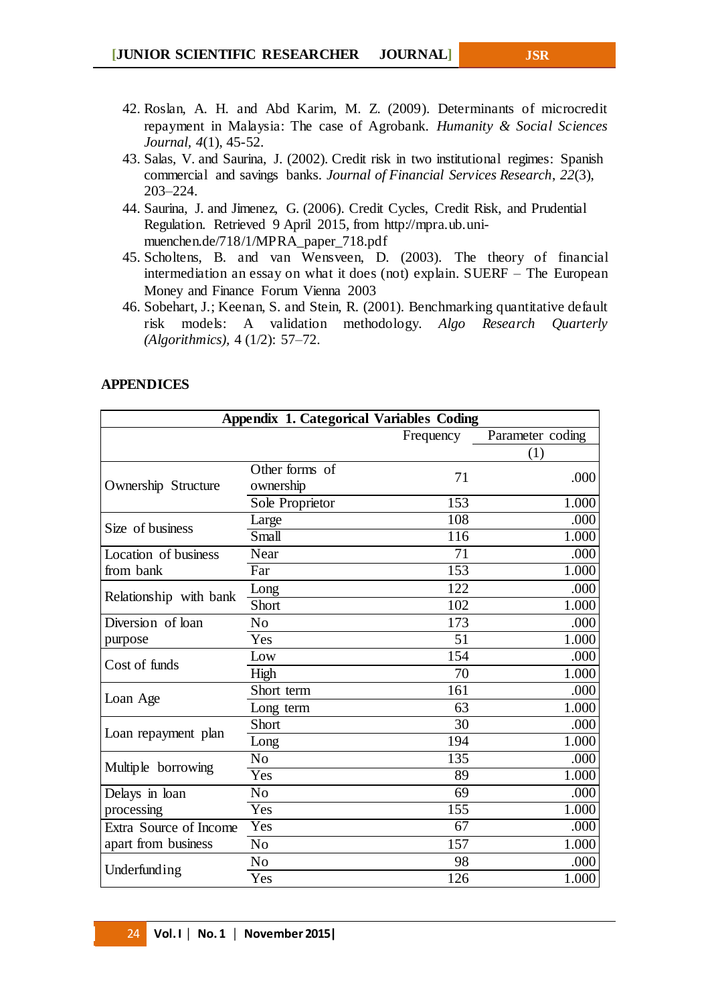- 43. Salas, V. and Saurina, J. (2002). Credit risk in two institutional regimes: Spanish commercial and savings banks. *Journal of Financial Services Research*, *22*(3), 203–224.
- 44. Saurina, J. and Jimenez, G. (2006). Credit Cycles, Credit Risk, and Prudential Regulation. Retrieved 9 April 2015, from http://mpra.ub.unimuenchen.de/718/1/MPRA\_paper\_718.pdf
- 45. Scholtens, B. and van Wensveen, D. (2003). The theory of financial intermediation an essay on what it does (not) explain. SUERF – The European Money and Finance Forum Vienna 2003
- 46. Sobehart, J.; Keenan, S. and Stein, R. (2001). Benchmarking quantitative default risk models: A validation methodology. *Algo Research Quarterly (Algorithmics),* 4 (1/2): 57–72.

# **APPENDICES**

| <b>Appendix 1. Categorical Variables Coding</b> |                             |           |                  |  |  |  |
|-------------------------------------------------|-----------------------------|-----------|------------------|--|--|--|
|                                                 |                             | Frequency | Parameter coding |  |  |  |
|                                                 |                             |           | (1)              |  |  |  |
| Ownership Structure                             | Other forms of<br>ownership | 71        | .000             |  |  |  |
|                                                 | Sole Proprietor             | 153       | 1.000            |  |  |  |
| Size of business                                | Large                       | 108       | .000             |  |  |  |
|                                                 | Small                       | 116       | 1.000            |  |  |  |
| Location of business                            | Near                        | 71        | .000             |  |  |  |
| from bank                                       | Far                         | 153       | 1.000            |  |  |  |
|                                                 | Long                        | 122       | .000             |  |  |  |
| Relationship with bank                          | Short                       | 102       | 1.000            |  |  |  |
| Diversion of loan                               | N <sub>o</sub>              | 173       | .000             |  |  |  |
| purpose                                         | Yes                         | 51        | 1.000            |  |  |  |
| Cost of funds                                   | Low                         | 154       | .000             |  |  |  |
|                                                 | High                        | 70        | 1.000            |  |  |  |
|                                                 | Short term                  | 161       | .000             |  |  |  |
| Loan Age                                        | Long term                   | 63        | 1.000            |  |  |  |
|                                                 | Short                       | 30        | .000             |  |  |  |
| Loan repayment plan                             | Long                        | 194       | 1.000            |  |  |  |
|                                                 | No                          | 135       | .000             |  |  |  |
| Multiple borrowing                              | Yes                         | 89        | 1.000            |  |  |  |
| Delays in loan                                  | No                          | 69        | .000             |  |  |  |
| processing                                      | Yes                         | 155       | 1.000            |  |  |  |
| Extra Source of Income                          | Yes                         | 67        | .000             |  |  |  |
| apart from business                             | N <sub>0</sub>              | 157       | 1.000            |  |  |  |
|                                                 | No                          | 98        | .000             |  |  |  |
| Underfunding                                    | Yes                         | 126       | 1.000            |  |  |  |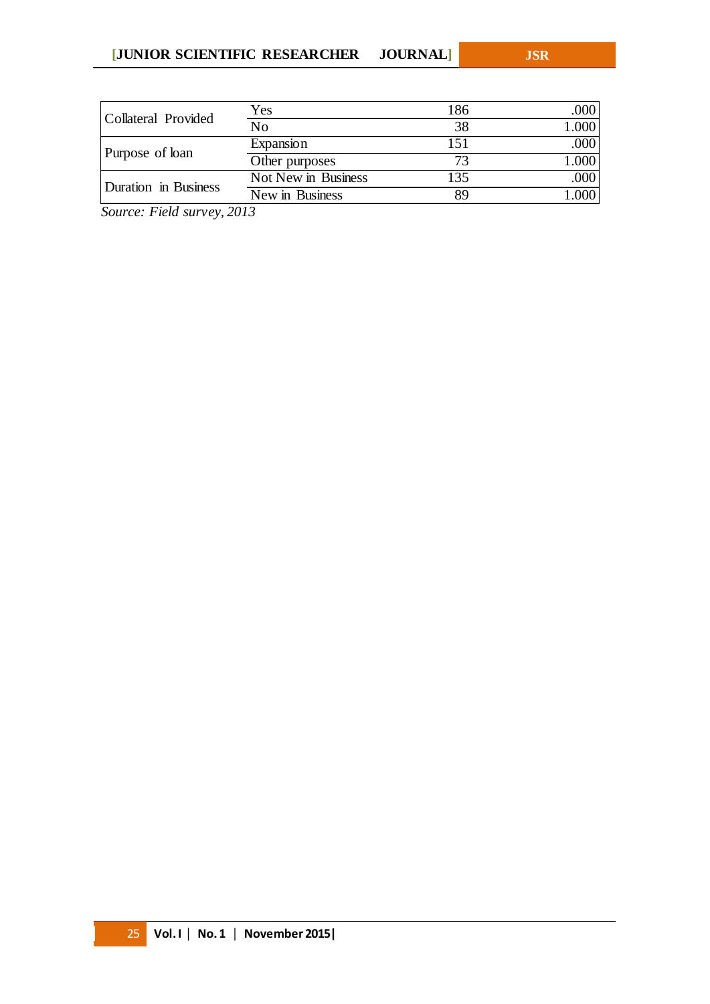| Collateral Provided  | Yes                 | 186 | .000  |
|----------------------|---------------------|-----|-------|
|                      | N <sub>0</sub>      | 38  | 1.000 |
|                      | Expansion           | 151 | .000  |
| Purpose of loan      | Other purposes      | 73  | 1.000 |
| Duration in Business | Not New in Business | 135 | .000  |
|                      | New in Business     | 89  | .000  |

*Source: Field survey, 2013*